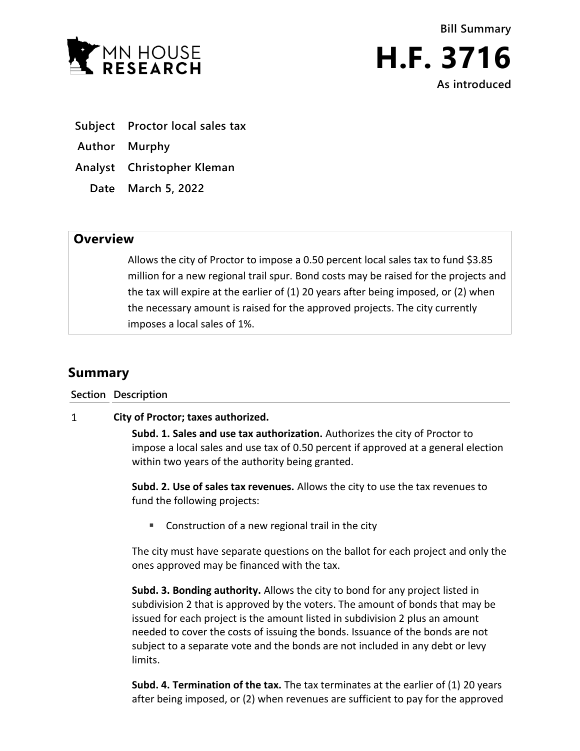



- **Subject Proctor local sales tax**
- **Author Murphy**
- **Analyst Christopher Kleman**
	- **Date March 5, 2022**

## **Overview**

Allows the city of Proctor to impose a 0.50 percent local sales tax to fund \$3.85 million for a new regional trail spur. Bond costs may be raised for the projects and the tax will expire at the earlier of (1) 20 years after being imposed, or (2) when the necessary amount is raised for the approved projects. The city currently imposes a local sales of 1%.

## **Summary**

**Section Description**

## $\mathbf{1}$ **City of Proctor; taxes authorized.**

**Subd. 1. Sales and use tax authorization.** Authorizes the city of Proctor to impose a local sales and use tax of 0.50 percent if approved at a general election within two years of the authority being granted.

**Subd. 2. Use of sales tax revenues.** Allows the city to use the tax revenues to fund the following projects:

**Construction of a new regional trail in the city** 

The city must have separate questions on the ballot for each project and only the ones approved may be financed with the tax.

**Subd. 3. Bonding authority.** Allows the city to bond for any project listed in subdivision 2 that is approved by the voters. The amount of bonds that may be issued for each project is the amount listed in subdivision 2 plus an amount needed to cover the costs of issuing the bonds. Issuance of the bonds are not subject to a separate vote and the bonds are not included in any debt or levy limits.

**Subd. 4. Termination of the tax.** The tax terminates at the earlier of (1) 20 years after being imposed, or (2) when revenues are sufficient to pay for the approved